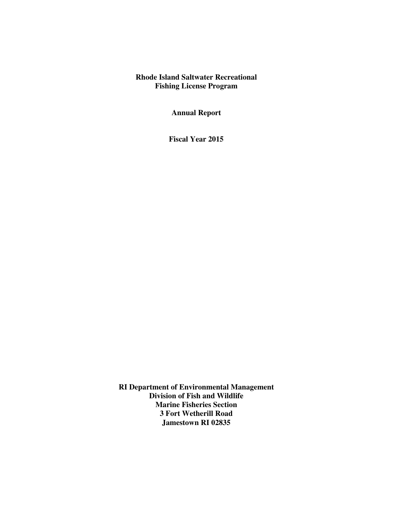## **Rhode Island Saltwater Recreational Fishing License Program**

**Annual Report** 

**Fiscal Year 2015** 

**RI Department of Environmental Management Division of Fish and Wildlife Marine Fisheries Section 3 Fort Wetherill Road Jamestown RI 02835**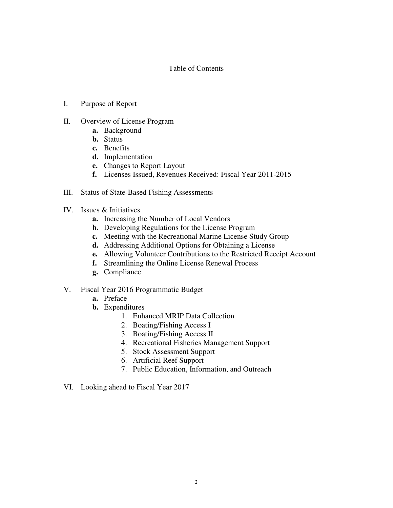## Table of Contents

- I. Purpose of Report
- II. Overview of License Program
	- **a.** Background
	- **b.** Status
	- **c.** Benefits
	- **d.** Implementation
	- **e.** Changes to Report Layout
	- **f.** Licenses Issued, Revenues Received: Fiscal Year 2011-2015
- III. Status of State-Based Fishing Assessments
- IV. Issues & Initiatives
	- **a.** Increasing the Number of Local Vendors
	- **b.** Developing Regulations for the License Program
	- **c.** Meeting with the Recreational Marine License Study Group
	- **d.** Addressing Additional Options for Obtaining a License
	- **e.** Allowing Volunteer Contributions to the Restricted Receipt Account
	- **f.** Streamlining the Online License Renewal Process
	- **g.** Compliance
- V. Fiscal Year 2016 Programmatic Budget
	- **a.** Preface
	- **b.** Expenditures
		- 1. Enhanced MRIP Data Collection
		- 2. Boating/Fishing Access I
		- 3. Boating/Fishing Access II
		- 4. Recreational Fisheries Management Support
		- 5. Stock Assessment Support
		- 6. Artificial Reef Support
		- 7. Public Education, Information, and Outreach
- VI. Looking ahead to Fiscal Year 2017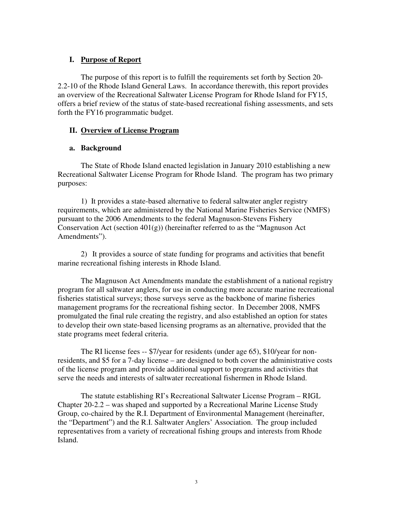## **I. Purpose of Report**

 The purpose of this report is to fulfill the requirements set forth by Section 20- 2.2-10 of the Rhode Island General Laws. In accordance therewith, this report provides an overview of the Recreational Saltwater License Program for Rhode Island for FY15, offers a brief review of the status of state-based recreational fishing assessments, and sets forth the FY16 programmatic budget.

## **II. Overview of License Program**

## **a. Background**

The State of Rhode Island enacted legislation in January 2010 establishing a new Recreational Saltwater License Program for Rhode Island. The program has two primary purposes:

 1) It provides a state-based alternative to federal saltwater angler registry requirements, which are administered by the National Marine Fisheries Service (NMFS) pursuant to the 2006 Amendments to the federal Magnuson-Stevens Fishery Conservation Act (section  $401(g)$ ) (hereinafter referred to as the "Magnuson Act Amendments").

2) It provides a source of state funding for programs and activities that benefit marine recreational fishing interests in Rhode Island.

The Magnuson Act Amendments mandate the establishment of a national registry program for all saltwater anglers, for use in conducting more accurate marine recreational fisheries statistical surveys; those surveys serve as the backbone of marine fisheries management programs for the recreational fishing sector. In December 2008, NMFS promulgated the final rule creating the registry, and also established an option for states to develop their own state-based licensing programs as an alternative, provided that the state programs meet federal criteria.

The RI license fees -- \$7/year for residents (under age 65), \$10/year for nonresidents, and \$5 for a 7-day license – are designed to both cover the administrative costs of the license program and provide additional support to programs and activities that serve the needs and interests of saltwater recreational fishermen in Rhode Island.

The statute establishing RI's Recreational Saltwater License Program – RIGL Chapter 20-2.2 – was shaped and supported by a Recreational Marine License Study Group, co-chaired by the R.I. Department of Environmental Management (hereinafter, the "Department") and the R.I. Saltwater Anglers' Association. The group included representatives from a variety of recreational fishing groups and interests from Rhode Island.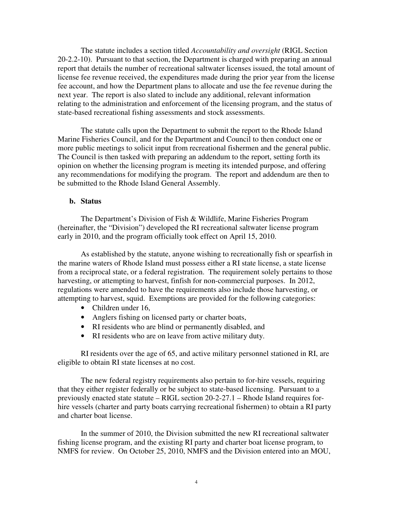The statute includes a section titled *Accountability and oversight* (RIGL Section 20-2.2-10). Pursuant to that section, the Department is charged with preparing an annual report that details the number of recreational saltwater licenses issued, the total amount of license fee revenue received, the expenditures made during the prior year from the license fee account, and how the Department plans to allocate and use the fee revenue during the next year. The report is also slated to include any additional, relevant information relating to the administration and enforcement of the licensing program, and the status of state-based recreational fishing assessments and stock assessments.

The statute calls upon the Department to submit the report to the Rhode Island Marine Fisheries Council, and for the Department and Council to then conduct one or more public meetings to solicit input from recreational fishermen and the general public. The Council is then tasked with preparing an addendum to the report, setting forth its opinion on whether the licensing program is meeting its intended purpose, and offering any recommendations for modifying the program. The report and addendum are then to be submitted to the Rhode Island General Assembly.

#### **b. Status**

The Department's Division of Fish & Wildlife, Marine Fisheries Program (hereinafter, the "Division") developed the RI recreational saltwater license program early in 2010, and the program officially took effect on April 15, 2010.

 As established by the statute, anyone wishing to recreationally fish or spearfish in the marine waters of Rhode Island must possess either a RI state license, a state license from a reciprocal state, or a federal registration. The requirement solely pertains to those harvesting, or attempting to harvest, finfish for non-commercial purposes. In 2012, regulations were amended to have the requirements also include those harvesting, or attempting to harvest, squid. Exemptions are provided for the following categories:

- Children under 16,
- Anglers fishing on licensed party or charter boats,
- RI residents who are blind or permanently disabled, and
- RI residents who are on leave from active military duty.

RI residents over the age of 65, and active military personnel stationed in RI, are eligible to obtain RI state licenses at no cost.

The new federal registry requirements also pertain to for-hire vessels, requiring that they either register federally or be subject to state-based licensing. Pursuant to a previously enacted state statute – RIGL section 20-2-27.1 – Rhode Island requires forhire vessels (charter and party boats carrying recreational fishermen) to obtain a RI party and charter boat license.

In the summer of 2010, the Division submitted the new RI recreational saltwater fishing license program, and the existing RI party and charter boat license program, to NMFS for review. On October 25, 2010, NMFS and the Division entered into an MOU,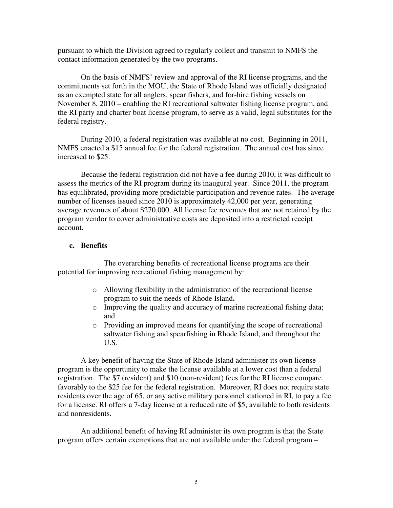pursuant to which the Division agreed to regularly collect and transmit to NMFS the contact information generated by the two programs.

On the basis of NMFS' review and approval of the RI license programs, and the commitments set forth in the MOU, the State of Rhode Island was officially designated as an exempted state for all anglers, spear fishers, and for-hire fishing vessels on November 8, 2010 – enabling the RI recreational saltwater fishing license program, and the RI party and charter boat license program, to serve as a valid, legal substitutes for the federal registry.

During 2010, a federal registration was available at no cost. Beginning in 2011, NMFS enacted a \$15 annual fee for the federal registration. The annual cost has since increased to \$25.

Because the federal registration did not have a fee during 2010, it was difficult to assess the metrics of the RI program during its inaugural year. Since 2011, the program has equilibrated, providing more predictable participation and revenue rates. The average number of licenses issued since 2010 is approximately 42,000 per year, generating average revenues of about \$270,000. All license fee revenues that are not retained by the program vendor to cover administrative costs are deposited into a restricted receipt account.

#### **c. Benefits**

 The overarching benefits of recreational license programs are their potential for improving recreational fishing management by:

- o Allowing flexibility in the administration of the recreational license program to suit the needs of Rhode Island**.**
- o Improving the quality and accuracy of marine recreational fishing data; and
- o Providing an improved means for quantifying the scope of recreational saltwater fishing and spearfishing in Rhode Island, and throughout the U.S.

A key benefit of having the State of Rhode Island administer its own license program is the opportunity to make the license available at a lower cost than a federal registration. The \$7 (resident) and \$10 (non-resident) fees for the RI license compare favorably to the \$25 fee for the federal registration. Moreover, RI does not require state residents over the age of 65, or any active military personnel stationed in RI, to pay a fee for a license. RI offers a 7-day license at a reduced rate of \$5, available to both residents and nonresidents.

An additional benefit of having RI administer its own program is that the State program offers certain exemptions that are not available under the federal program –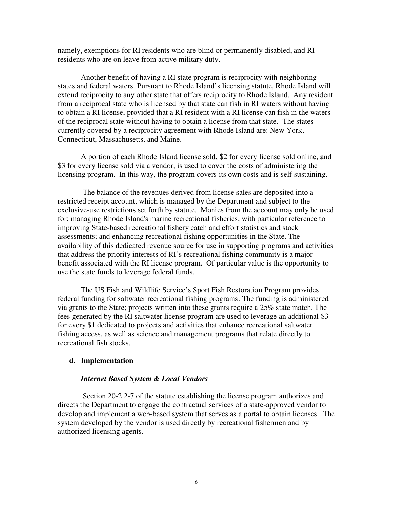namely, exemptions for RI residents who are blind or permanently disabled, and RI residents who are on leave from active military duty.

Another benefit of having a RI state program is reciprocity with neighboring states and federal waters. Pursuant to Rhode Island's licensing statute, Rhode Island will extend reciprocity to any other state that offers reciprocity to Rhode Island. Any resident from a reciprocal state who is licensed by that state can fish in RI waters without having to obtain a RI license, provided that a RI resident with a RI license can fish in the waters of the reciprocal state without having to obtain a license from that state. The states currently covered by a reciprocity agreement with Rhode Island are: New York, Connecticut, Massachusetts, and Maine.

A portion of each Rhode Island license sold, \$2 for every license sold online, and \$3 for every license sold via a vendor, is used to cover the costs of administering the licensing program. In this way, the program covers its own costs and is self-sustaining.

 The balance of the revenues derived from license sales are deposited into a restricted receipt account, which is managed by the Department and subject to the exclusive-use restrictions set forth by statute. Monies from the account may only be used for: managing Rhode Island's marine recreational fisheries, with particular reference to improving State-based recreational fishery catch and effort statistics and stock assessments; and enhancing recreational fishing opportunities in the State. The availability of this dedicated revenue source for use in supporting programs and activities that address the priority interests of RI's recreational fishing community is a major benefit associated with the RI license program. Of particular value is the opportunity to use the state funds to leverage federal funds.

The US Fish and Wildlife Service's Sport Fish Restoration Program provides federal funding for saltwater recreational fishing programs. The funding is administered via grants to the State; projects written into these grants require a 25% state match. The fees generated by the RI saltwater license program are used to leverage an additional \$3 for every \$1 dedicated to projects and activities that enhance recreational saltwater fishing access, as well as science and management programs that relate directly to recreational fish stocks.

#### **d. Implementation**

#### *Internet Based System & Local Vendors*

 Section 20-2.2-7 of the statute establishing the license program authorizes and directs the Department to engage the contractual services of a state-approved vendor to develop and implement a web-based system that serves as a portal to obtain licenses. The system developed by the vendor is used directly by recreational fishermen and by authorized licensing agents.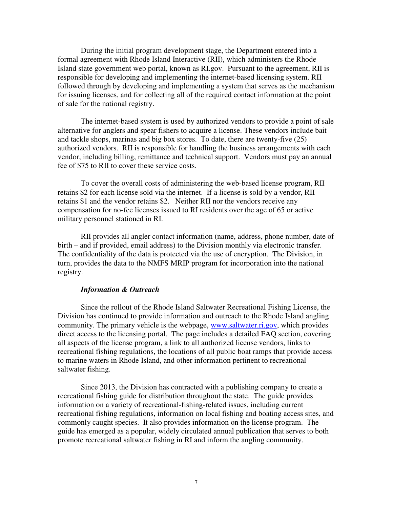During the initial program development stage, the Department entered into a formal agreement with Rhode Island Interactive (RII), which administers the Rhode Island state government web portal, known as RI.gov. Pursuant to the agreement, RII is responsible for developing and implementing the internet-based licensing system. RII followed through by developing and implementing a system that serves as the mechanism for issuing licenses, and for collecting all of the required contact information at the point of sale for the national registry.

The internet-based system is used by authorized vendors to provide a point of sale alternative for anglers and spear fishers to acquire a license. These vendors include bait and tackle shops, marinas and big box stores. To date, there are twenty-five (25) authorized vendors. RII is responsible for handling the business arrangements with each vendor, including billing, remittance and technical support. Vendors must pay an annual fee of \$75 to RII to cover these service costs.

To cover the overall costs of administering the web-based license program, RII retains \$2 for each license sold via the internet. If a license is sold by a vendor, RII retains \$1 and the vendor retains \$2. Neither RII nor the vendors receive any compensation for no-fee licenses issued to RI residents over the age of 65 or active military personnel stationed in RI.

RII provides all angler contact information (name, address, phone number, date of birth – and if provided, email address) to the Division monthly via electronic transfer. The confidentiality of the data is protected via the use of encryption. The Division, in turn, provides the data to the NMFS MRIP program for incorporation into the national registry.

#### *Information & Outreach*

Since the rollout of the Rhode Island Saltwater Recreational Fishing License, the Division has continued to provide information and outreach to the Rhode Island angling community. The primary vehicle is the webpage, www.saltwater.ri.gov, which provides direct access to the licensing portal. The page includes a detailed FAQ section, covering all aspects of the license program, a link to all authorized license vendors, links to recreational fishing regulations, the locations of all public boat ramps that provide access to marine waters in Rhode Island, and other information pertinent to recreational saltwater fishing.

Since 2013, the Division has contracted with a publishing company to create a recreational fishing guide for distribution throughout the state. The guide provides information on a variety of recreational-fishing-related issues, including current recreational fishing regulations, information on local fishing and boating access sites, and commonly caught species. It also provides information on the license program. The guide has emerged as a popular, widely circulated annual publication that serves to both promote recreational saltwater fishing in RI and inform the angling community.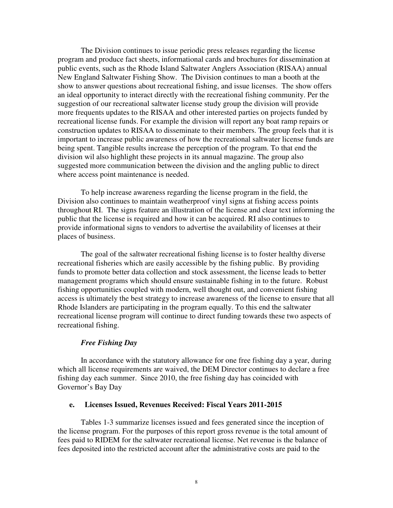The Division continues to issue periodic press releases regarding the license program and produce fact sheets, informational cards and brochures for dissemination at public events, such as the Rhode Island Saltwater Anglers Association (RISAA) annual New England Saltwater Fishing Show. The Division continues to man a booth at the show to answer questions about recreational fishing, and issue licenses. The show offers an ideal opportunity to interact directly with the recreational fishing community. Per the suggestion of our recreational saltwater license study group the division will provide more frequents updates to the RISAA and other interested parties on projects funded by recreational license funds. For example the division will report any boat ramp repairs or construction updates to RISAA to disseminate to their members. The group feels that it is important to increase public awareness of how the recreational saltwater license funds are being spent. Tangible results increase the perception of the program. To that end the division wil also highlight these projects in its annual magazine. The group also suggested more communication between the division and the angling public to direct where access point maintenance is needed.

To help increase awareness regarding the license program in the field, the Division also continues to maintain weatherproof vinyl signs at fishing access points throughout RI. The signs feature an illustration of the license and clear text informing the public that the license is required and how it can be acquired. RI also continues to provide informational signs to vendors to advertise the availability of licenses at their places of business.

The goal of the saltwater recreational fishing license is to foster healthy diverse recreational fisheries which are easily accessible by the fishing public. By providing funds to promote better data collection and stock assessment, the license leads to better management programs which should ensure sustainable fishing in to the future. Robust fishing opportunities coupled with modern, well thought out, and convenient fishing access is ultimately the best strategy to increase awareness of the license to ensure that all Rhode Islanders are participating in the program equally. To this end the saltwater recreational license program will continue to direct funding towards these two aspects of recreational fishing.

#### *Free Fishing Day*

In accordance with the statutory allowance for one free fishing day a year, during which all license requirements are waived, the DEM Director continues to declare a free fishing day each summer. Since 2010, the free fishing day has coincided with Governor's Bay Day

#### **e. Licenses Issued, Revenues Received: Fiscal Years 2011-2015**

Tables 1-3 summarize licenses issued and fees generated since the inception of the license program. For the purposes of this report gross revenue is the total amount of fees paid to RIDEM for the saltwater recreational license. Net revenue is the balance of fees deposited into the restricted account after the administrative costs are paid to the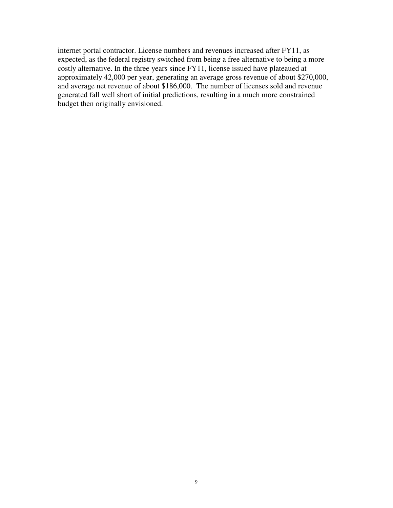internet portal contractor. License numbers and revenues increased after FY11, as expected, as the federal registry switched from being a free alternative to being a more costly alternative. In the three years since FY11, license issued have plateaued at approximately 42,000 per year, generating an average gross revenue of about \$270,000, and average net revenue of about \$186,000. The number of licenses sold and revenue generated fall well short of initial predictions, resulting in a much more constrained budget then originally envisioned.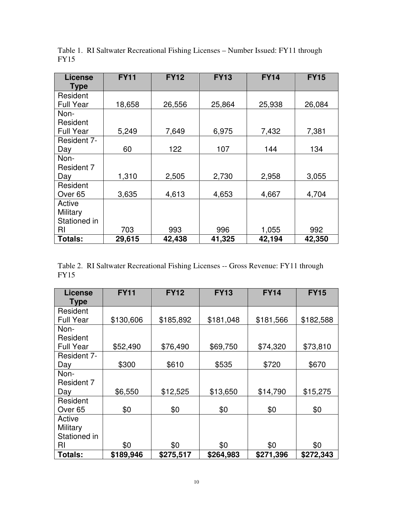| <b>License</b><br><b>Type</b> | <b>FY11</b> | <b>FY12</b> | <b>FY13</b> | <b>FY14</b> | <b>FY15</b> |
|-------------------------------|-------------|-------------|-------------|-------------|-------------|
| Resident                      |             |             |             |             |             |
| <b>Full Year</b>              | 18,658      | 26,556      | 25,864      | 25,938      | 26,084      |
| Non-                          |             |             |             |             |             |
| Resident                      |             |             |             |             |             |
| <b>Full Year</b>              | 5,249       | 7,649       | 6,975       | 7,432       | 7,381       |
| Resident 7-                   |             |             |             |             |             |
| Day                           | 60          | 122         | 107         | 144         | 134         |
| Non-                          |             |             |             |             |             |
| Resident 7                    |             |             |             |             |             |
| Day                           | 1,310       | 2,505       | 2,730       | 2,958       | 3,055       |
| Resident                      |             |             |             |             |             |
| Over <sub>65</sub>            | 3,635       | 4,613       | 4,653       | 4,667       | 4,704       |
| Active                        |             |             |             |             |             |
| Military                      |             |             |             |             |             |
| Stationed in                  |             |             |             |             |             |
| RI                            | 703         | 993         | 996         | 1,055       | 992         |
| <b>Totals:</b>                | 29,615      | 42,438      | 41,325      | 42,194      | 42,350      |

Table 1. RI Saltwater Recreational Fishing Licenses – Number Issued: FY11 through FY15

|      | Table 2. RI Saltwater Recreational Fishing Licenses -- Gross Revenue: FY11 through |  |  |
|------|------------------------------------------------------------------------------------|--|--|
| FY15 |                                                                                    |  |  |

| <b>License</b>     | <b>FY11</b> | <b>FY12</b> | <b>FY13</b> | <b>FY14</b> | <b>FY15</b> |
|--------------------|-------------|-------------|-------------|-------------|-------------|
| <b>Type</b>        |             |             |             |             |             |
| Resident           |             |             |             |             |             |
| <b>Full Year</b>   | \$130,606   | \$185,892   | \$181,048   | \$181,566   | \$182,588   |
| Non-               |             |             |             |             |             |
| Resident           |             |             |             |             |             |
| <b>Full Year</b>   | \$52,490    | \$76,490    | \$69,750    | \$74,320    | \$73,810    |
| Resident 7-        |             |             |             |             |             |
| Day                | \$300       | \$610       | \$535       | \$720       | \$670       |
| Non-               |             |             |             |             |             |
| Resident 7         |             |             |             |             |             |
| Day                | \$6,550     | \$12,525    | \$13,650    | \$14,790    | \$15,275    |
| Resident           |             |             |             |             |             |
| Over <sub>65</sub> | \$0         | \$0         | \$0         | \$0         | \$0         |
| Active             |             |             |             |             |             |
| Military           |             |             |             |             |             |
| Stationed in       |             |             |             |             |             |
| RI                 | \$0         | \$0         | \$0         | \$0         | \$0         |
| <b>Totals:</b>     | \$189,946   | \$275,517   | \$264,983   | \$271,396   | \$272,343   |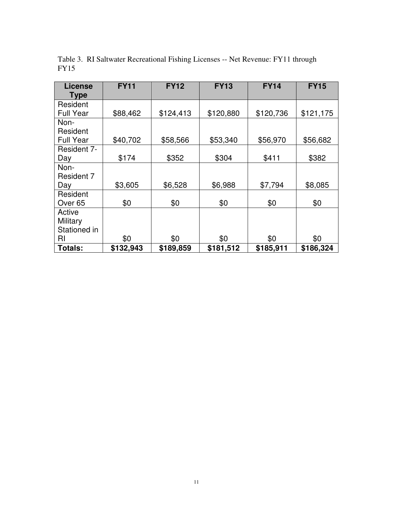| <b>License</b><br><b>Type</b> | <b>FY11</b> | <b>FY12</b> | <b>FY13</b> | <b>FY14</b> | <b>FY15</b> |
|-------------------------------|-------------|-------------|-------------|-------------|-------------|
| Resident                      |             |             |             |             |             |
| <b>Full Year</b>              | \$88,462    | \$124,413   | \$120,880   | \$120,736   | \$121,175   |
| Non-                          |             |             |             |             |             |
| Resident                      |             |             |             |             |             |
| <b>Full Year</b>              | \$40,702    | \$58,566    | \$53,340    | \$56,970    | \$56,682    |
| Resident 7-                   |             |             |             |             |             |
| Day                           | \$174       | \$352       | \$304       | \$411       | \$382       |
| Non-                          |             |             |             |             |             |
| Resident 7                    |             |             |             |             |             |
| Day                           | \$3,605     | \$6,528     | \$6,988     | \$7,794     | \$8,085     |
| Resident                      |             |             |             |             |             |
| Over <sub>65</sub>            | \$0         | \$0         | \$0         | \$0         | \$0         |
| Active                        |             |             |             |             |             |
| Military                      |             |             |             |             |             |
| Stationed in                  |             |             |             |             |             |
| RI                            | \$0         | \$0         | \$0         | \$0         | \$0         |
| <b>Totals:</b>                | \$132,943   | \$189,859   | \$181,512   | \$185,911   | \$186,324   |

Table 3. RI Saltwater Recreational Fishing Licenses -- Net Revenue: FY11 through FY15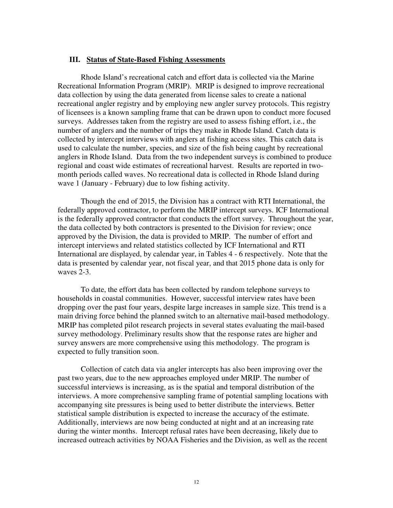#### **III. Status of State-Based Fishing Assessments**

Rhode Island's recreational catch and effort data is collected via the Marine Recreational Information Program (MRIP). MRIP is designed to improve recreational data collection by using the data generated from license sales to create a national recreational angler registry and by employing new angler survey protocols. This registry of licensees is a known sampling frame that can be drawn upon to conduct more focused surveys. Addresses taken from the registry are used to assess fishing effort, i.e., the number of anglers and the number of trips they make in Rhode Island. Catch data is collected by intercept interviews with anglers at fishing access sites. This catch data is used to calculate the number, species, and size of the fish being caught by recreational anglers in Rhode Island. Data from the two independent surveys is combined to produce regional and coast wide estimates of recreational harvest. Results are reported in twomonth periods called waves. No recreational data is collected in Rhode Island during wave 1 (January - February) due to low fishing activity.

Though the end of 2015, the Division has a contract with RTI International, the federally approved contractor, to perform the MRIP intercept surveys. ICF International is the federally approved contractor that conducts the effort survey. Throughout the year, the data collected by both contractors is presented to the Division for review; once approved by the Division, the data is provided to MRIP. The number of effort and intercept interviews and related statistics collected by ICF International and RTI International are displayed, by calendar year, in Tables 4 - 6 respectively. Note that the data is presented by calendar year, not fiscal year, and that 2015 phone data is only for waves 2-3.

To date, the effort data has been collected by random telephone surveys to households in coastal communities. However, successful interview rates have been dropping over the past four years, despite large increases in sample size. This trend is a main driving force behind the planned switch to an alternative mail-based methodology. MRIP has completed pilot research projects in several states evaluating the mail-based survey methodology. Preliminary results show that the response rates are higher and survey answers are more comprehensive using this methodology. The program is expected to fully transition soon.

Collection of catch data via angler intercepts has also been improving over the past two years, due to the new approaches employed under MRIP. The number of successful interviews is increasing, as is the spatial and temporal distribution of the interviews. A more comprehensive sampling frame of potential sampling locations with accompanying site pressures is being used to better distribute the interviews. Better statistical sample distribution is expected to increase the accuracy of the estimate. Additionally, interviews are now being conducted at night and at an increasing rate during the winter months. Intercept refusal rates have been decreasing, likely due to increased outreach activities by NOAA Fisheries and the Division, as well as the recent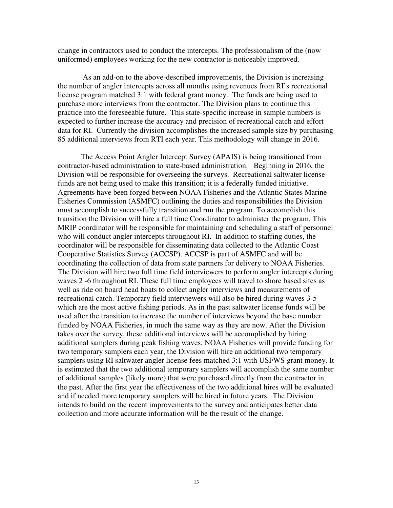change in contractors used to conduct the intercepts. The professionalism of the (now uniformed) employees working for the new contractor is noticeably improved.

 As an add-on to the above-described improvements, the Division is increasing the number of angler intercepts across all months using revenues from RI's recreational license program matched 3:1 with federal grant money. The funds are being used to purchase more interviews from the contractor. The Division plans to continue this practice into the foreseeable future. This state-specific increase in sample numbers is expected to further increase the accuracy and precision of recreational catch and effort data for RI. Currently the division accomplishes the increased sample size by purchasing 85 additional interviews from RTI each year. This methodology will change in 2016.

The Access Point Angler Intercept Survey (APAIS) is being transitioned from contractor-based administration to state-based administration. Beginning in 2016, the Division will be responsible for overseeing the surveys. Recreational saltwater license funds are not being used to make this transition; it is a federally funded initiative. Agreements have been forged between NOAA Fisheries and the Atlantic States Marine Fisheries Commission (ASMFC) outlining the duties and responsibilities the Division must accomplish to successfully transition and run the program. To accomplish this transition the Division will hire a full time Coordinator to administer the program. This MRIP coordinator will be responsible for maintaining and scheduling a staff of personnel who will conduct angler intercepts throughout RI. In addition to staffing duties, the coordinator will be responsible for disseminating data collected to the Atlantic Coast Cooperative Statistics Survey (ACCSP). ACCSP is part of ASMFC and will be coordinating the collection of data from state partners for delivery to NOAA Fisheries. The Division will hire two full time field interviewers to perform angler intercepts during waves 2 -6 throughout RI. These full time employees will travel to shore based sites as well as ride on board head boats to collect angler interviews and measurements of recreational catch. Temporary field interviewers will also be hired during waves 3-5 which are the most active fishing periods. As in the past saltwater license funds will be used after the transition to increase the number of interviews beyond the base number funded by NOAA Fisheries, in much the same way as they are now. After the Division takes over the survey, these additional interviews will be accomplished by hiring additional samplers during peak fishing waves. NOAA Fisheries will provide funding for two temporary samplers each year, the Division will hire an additional two temporary samplers using RI saltwater angler license fees matched 3:1 with USFWS grant money. It is estimated that the two additional temporary samplers will accomplish the same number of additional samples (likely more) that were purchased directly from the contractor in the past. After the first year the effectiveness of the two additional hires will be evaluated and if needed more temporary samplers will be hired in future years. The Division intends to build on the recent improvements to the survey and anticipates better data collection and more accurate information will be the result of the change.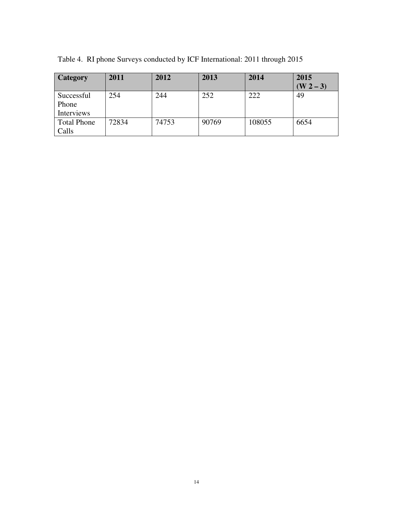| <b>Category</b>     | 2011  | 2012  | 2013  | 2014   | 2015<br>$(W 2 - 3)$ |
|---------------------|-------|-------|-------|--------|---------------------|
| Successful<br>Phone | 254   | 244   | 252   | 222    | 49                  |
| Interviews          |       |       |       |        |                     |
| <b>Total Phone</b>  | 72834 | 74753 | 90769 | 108055 | 6654                |
| Calls               |       |       |       |        |                     |

Table 4. RI phone Surveys conducted by ICF International: 2011 through 2015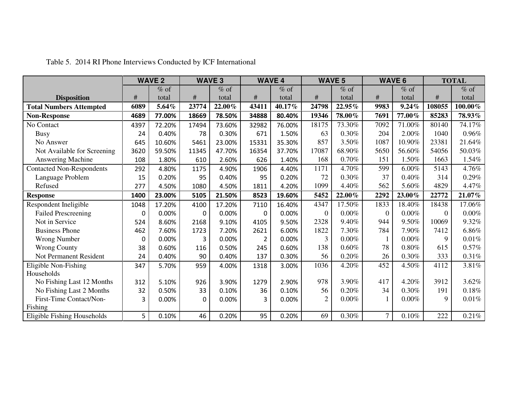|                                  |      | <b>WAVE 2</b> |          | <b>WAVE 3</b> |                | <b>WAVE 4</b> |                  | <b>WAVE 5</b> |                | <b>WAVE 6</b> |          | <b>TOTAL</b> |
|----------------------------------|------|---------------|----------|---------------|----------------|---------------|------------------|---------------|----------------|---------------|----------|--------------|
|                                  |      | $%$ of        |          | $%$ of        |                | $%$ of        |                  | $%$ of        |                | $%$ of        |          | $%$ of       |
| <b>Disposition</b>               | $\#$ | total         | #        | total         | #              | total         | $\#$             | total         | $\#$           | total         | #        | total        |
| <b>Total Numbers Attempted</b>   | 6089 | 5.64%         | 23774    | 22.00%        | 43411          | 40.17%        | 24798            | 22.95%        | 9983           | 9.24%         | 108055   | 100.00%      |
| <b>Non-Response</b>              | 4689 | 77.00%        | 18669    | 78.50%        | 34888          | 80.40%        | 19346            | 78.00%        | 7691           | 77.00%        | 85283    | 78.93%       |
| No Contact                       | 4397 | 72.20%        | 17494    | 73.60%        | 32982          | 76.00%        | 18175            | 73.30%        | 7092           | 71.00%        | 80140    | 74.17%       |
| <b>Busy</b>                      | 24   | 0.40%         | 78       | 0.30%         | 671            | 1.50%         | 63               | 0.30%         | 204            | 2.00%         | 1040     | 0.96%        |
| No Answer                        | 645  | 10.60%        | 5461     | 23.00%        | 15331          | 35.30%        | 857              | 3.50%         | 1087           | 10.90%        | 23381    | 21.64%       |
| Not Available for Screening      | 3620 | 59.50%        | 11345    | 47.70%        | 16354          | 37.70%        | 17087            | 68.90%        | 5650           | 56.60%        | 54056    | 50.03%       |
| Answering Machine                | 108  | 1.80%         | 610      | 2.60%         | 626            | 1.40%         | 168              | $0.70\%$      | 151            | 1.50%         | 1663     | 1.54%        |
| <b>Contacted Non-Respondents</b> | 292  | 4.80%         | 1175     | 4.90%         | 1906           | 4.40%         | 1171             | 4.70%         | 599            | 6.00%         | 5143     | 4.76%        |
| Language Problem                 | 15   | 0.20%         | 95       | 0.40%         | 95             | 0.20%         | 72               | 0.30%         | 37             | 0.40%         | 314      | 0.29%        |
| Refused                          | 277  | 4.50%         | 1080     | 4.50%         | 1811           | 4.20%         | 1099             | 4.40%         | 562            | $5.60\%$      | 4829     | 4.47%        |
| <b>Response</b>                  | 1400 | 23.00%        | 5105     | 21.50%        | 8523           | 19.60%        | 5452             | 22.00%        | 2292           | 23.00%        | 22772    | 21.07%       |
| Respondent Ineligible            | 1048 | 17.20%        | 4100     | 17.20%        | 7110           | 16.40%        | 4347             | 17.50%        | 1833           | 18.40%        | 18438    | 17.06%       |
| <b>Failed Prescreening</b>       | 0    | 0.00%         | 0        | 0.00%         | $\Omega$       | 0.00%         | $\boldsymbol{0}$ | $0.00\%$      | $\overline{0}$ | 0.00%         | $\theta$ | $0.00\%$     |
| Not in Service                   | 524  | 8.60%         | 2168     | 9.10%         | 4105           | 9.50%         | 2328             | 9.40%         | 944            | 9.50%         | 10069    | 9.32%        |
| <b>Business Phone</b>            | 462  | 7.60%         | 1723     | 7.20%         | 2621           | 6.00%         | 1822             | 7.30%         | 784            | 7.90%         | 7412     | 6.86%        |
| <b>Wrong Number</b>              | 0    | 0.00%         | 3        | 0.00%         | $\overline{2}$ | 0.00%         | 3                | $0.00\%$      |                | 0.00%         | 9        | 0.01%        |
| <b>Wrong County</b>              | 38   | 0.60%         | 116      | 0.50%         | 245            | 0.60%         | 138              | 0.60%         | 78             | 0.80%         | 615      | 0.57%        |
| Not Permanent Resident           | 24   | 0.40%         | 90       | 0.40%         | 137            | 0.30%         | 56               | 0.20%         | 26             | 0.30%         | 333      | 0.31%        |
| Eligible Non-Fishing             | 347  | 5.70%         | 959      | 4.00%         | 1318           | 3.00%         | 1036             | 4.20%         | 452            | 4.50%         | 4112     | 3.81%        |
| Households                       |      |               |          |               |                |               |                  |               |                |               |          |              |
| No Fishing Last 12 Months        | 312  | 5.10%         | 926      | 3.90%         | 1279           | 2.90%         | 978              | 3.90%         | 417            | 4.20%         | 3912     | 3.62%        |
| No Fishing Last 2 Months         | 32   | 0.50%         | 33       | 0.10%         | 36             | 0.10%         | 56               | 0.20%         | 34             | 0.30%         | 191      | 0.18%        |
| First-Time Contact/Non-          | 3    | 0.00%         | $\Omega$ | 0.00%         | 3              | 0.00%         | $\overline{2}$   | $0.00\%$      |                | $0.00\%$      | 9        | $0.01\%$     |
| Fishing                          |      |               |          |               |                |               |                  |               |                |               |          |              |
| Eligible Fishing Households      | 5    | 0.10%         | 46       | 0.20%         | 95             | 0.20%         | 69               | 0.30%         | $\overline{7}$ | 0.10%         | 222      | 0.21%        |

Table 5. 2014 RI Phone Interviews Conducted by ICF International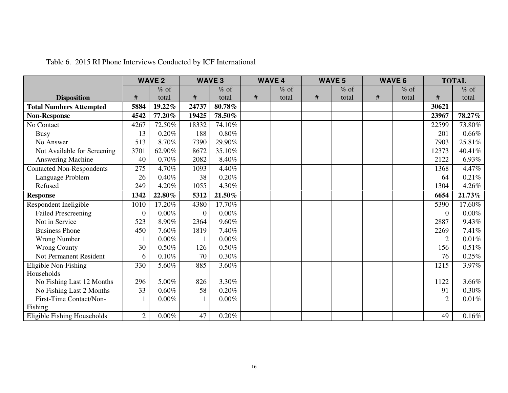|                                  |                | <b>WAVE 2</b> | <b>WAVE 3</b> |          |      | <b>WAVE 4</b> |      | <b>WAVE 5</b> |      | <b>WAVE 6</b> |                | <b>TOTAL</b> |
|----------------------------------|----------------|---------------|---------------|----------|------|---------------|------|---------------|------|---------------|----------------|--------------|
|                                  |                | $%$ of        |               | $%$ of   |      | $%$ of        |      | $%$ of        |      | $%$ of        |                | $%$ of       |
| <b>Disposition</b>               | $\#$           | total         | #             | total    | $\#$ | total         | $\#$ | total         | $\#$ | total         | $\#$           | total        |
| <b>Total Numbers Attempted</b>   | 5884           | 19.22%        | 24737         | 80.78%   |      |               |      |               |      |               | 30621          |              |
| <b>Non-Response</b>              | 4542           | 77.20%        | 19425         | 78.50%   |      |               |      |               |      |               | 23967          | 78.27%       |
| No Contact                       | 4267           | 72.50%        | 18332         | 74.10%   |      |               |      |               |      |               | 22599          | 73.80%       |
| <b>Busy</b>                      | 13             | 0.20%         | 188           | $0.80\%$ |      |               |      |               |      |               | 201            | $0.66\%$     |
| No Answer                        | 513            | 8.70%         | 7390          | 29.90%   |      |               |      |               |      |               | 7903           | 25.81%       |
| Not Available for Screening      | 3701           | 62.90%        | 8672          | 35.10%   |      |               |      |               |      |               | 12373          | 40.41%       |
| Answering Machine                | 40             | 0.70%         | 2082          | 8.40%    |      |               |      |               |      |               | 2122           | 6.93%        |
| <b>Contacted Non-Respondents</b> | 275            | 4.70%         | 1093          | 4.40%    |      |               |      |               |      |               | 1368           | 4.47%        |
| Language Problem                 | 26             | $0.40\%$      | 38            | 0.20%    |      |               |      |               |      |               | 64             | 0.21%        |
| Refused                          | 249            | 4.20%         | 1055          | 4.30%    |      |               |      |               |      |               | 1304           | 4.26%        |
| <b>Response</b>                  | 1342           | 22.80%        | 5312          | 21.50%   |      |               |      |               |      |               | 6654           | 21.73%       |
| Respondent Ineligible            | 1010           | 17.20%        | 4380          | 17.70%   |      |               |      |               |      |               | 5390           | 17.60%       |
| <b>Failed Prescreening</b>       | $\Omega$       | 0.00%         | $\mathbf{0}$  | $0.00\%$ |      |               |      |               |      |               | $\theta$       | $0.00\%$     |
| Not in Service                   | 523            | 8.90%         | 2364          | 9.60%    |      |               |      |               |      |               | 2887           | 9.43%        |
| <b>Business Phone</b>            | 450            | 7.60%         | 1819          | 7.40%    |      |               |      |               |      |               | 2269           | 7.41%        |
| <b>Wrong Number</b>              |                | 0.00%         |               | $0.00\%$ |      |               |      |               |      |               | $\overline{2}$ | 0.01%        |
| <b>Wrong County</b>              | 30             | $0.50\%$      | 126           | $0.50\%$ |      |               |      |               |      |               | 156            | $0.51\%$     |
| Not Permanent Resident           | 6              | 0.10%         | 70            | 0.30%    |      |               |      |               |      |               | 76             | 0.25%        |
| Eligible Non-Fishing             | 330            | 5.60%         | 885           | 3.60%    |      |               |      |               |      |               | 1215           | 3.97%        |
| Households                       |                |               |               |          |      |               |      |               |      |               |                |              |
| No Fishing Last 12 Months        | 296            | 5.00%         | 826           | 3.30%    |      |               |      |               |      |               | 1122           | 3.66%        |
| No Fishing Last 2 Months         | 33             | 0.60%         | 58            | 0.20%    |      |               |      |               |      |               | 91             | 0.30%        |
| First-Time Contact/Non-          |                | $0.00\%$      |               | $0.00\%$ |      |               |      |               |      |               | $\overline{2}$ | 0.01%        |
| Fishing                          |                |               |               |          |      |               |      |               |      |               |                |              |
| Eligible Fishing Households      | $\overline{2}$ | 0.00%         | 47            | 0.20%    |      |               |      |               |      |               | 49             | 0.16%        |

## Table 6. 2015 RI Phone Interviews Conducted by ICF International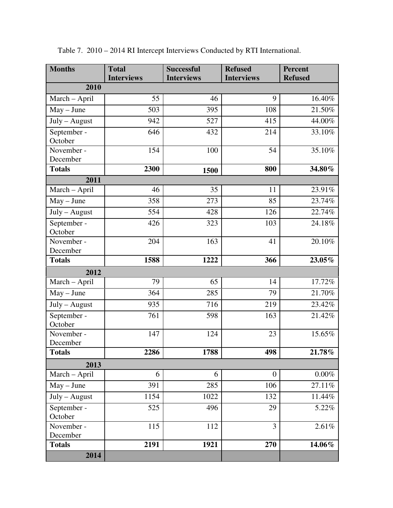| <b>Months</b>          | <b>Total</b><br><b>Interviews</b> | <b>Successful</b><br><b>Interviews</b> | <b>Refused</b><br><b>Interviews</b> | Percent<br><b>Refused</b> |
|------------------------|-----------------------------------|----------------------------------------|-------------------------------------|---------------------------|
| 2010                   |                                   |                                        |                                     |                           |
| March - April          | 55                                | 46                                     | 9                                   | 16.40%                    |
| $May - June$           | 503                               | 395                                    | 108                                 | 21.50%                    |
| July - August          | 942                               | 527                                    | 415                                 | 44.00%                    |
| September -<br>October | 646                               | 432                                    | 214                                 | 33.10%                    |
| November -<br>December | 154                               | 100                                    | 54                                  | 35.10%                    |
| <b>Totals</b>          | 2300                              | 1500                                   | 800                                 | 34.80%                    |
| 2011                   |                                   |                                        |                                     |                           |
| March - April          | 46                                | 35                                     | 11                                  | 23.91%                    |
| $May - June$           | 358                               | 273                                    | 85                                  | 23.74%                    |
| July - August          | 554                               | 428                                    | 126                                 | 22.74%                    |
| September -<br>October | 426                               | 323                                    | 103                                 | 24.18%                    |
| November -<br>December | 204                               | 163                                    | 41                                  | 20.10%                    |
| <b>Totals</b>          | 1588                              | 1222                                   | 366                                 | 23.05%                    |
| 2012                   |                                   |                                        |                                     |                           |
| March - April          | 79                                | 65                                     | 14                                  | 17.72%                    |
| $May - June$           | 364                               | 285                                    | 79                                  | 21.70%                    |
| July - August          | 935                               | 716                                    | 219                                 | 23.42%                    |
| September -<br>October | 761                               | 598                                    | 163                                 | 21.42%                    |
| November -<br>December | 147                               | 124                                    | 23                                  | 15.65%                    |
| <b>Totals</b>          | 2286                              | 1788                                   | 498                                 | 21.78%                    |
| 2013                   |                                   |                                        |                                     |                           |
| March - April          | 6                                 | 6                                      | $\overline{0}$                      | $0.00\%$                  |
| $May - June$           | 391                               | 285                                    | 106                                 | 27.11%                    |
| July - August          | 1154                              | 1022                                   | 132                                 | 11.44%                    |
| September -<br>October | 525                               | 496                                    | 29                                  | 5.22%                     |
| November -<br>December | 115                               | 112                                    | 3                                   | 2.61%                     |
| <b>Totals</b>          | 2191                              | 1921                                   | 270                                 | 14.06%                    |
| 2014                   |                                   |                                        |                                     |                           |

Table 7. 2010 – 2014 RI Intercept Interviews Conducted by RTI International.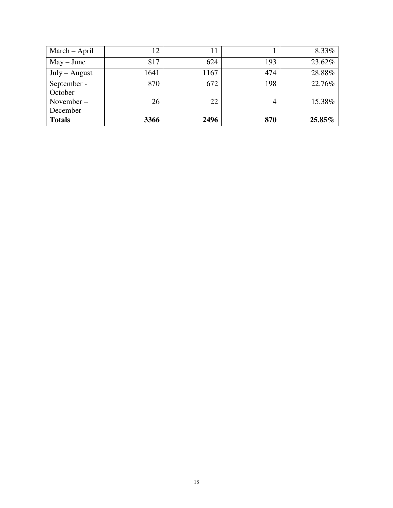| March - April   | 12   |      |     | 8.33%  |
|-----------------|------|------|-----|--------|
| $May - June$    | 817  | 624  | 193 | 23.62% |
| $July - August$ | 1641 | 1167 | 474 | 28.88% |
| September -     | 870  | 672  | 198 | 22.76% |
| October         |      |      |     |        |
| November-       | 26   | 22   | 4   | 15.38% |
| December        |      |      |     |        |
| <b>Totals</b>   | 3366 | 2496 | 870 | 25.85% |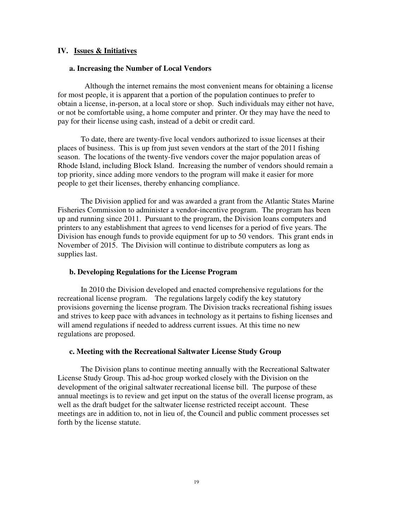#### **IV. Issues & Initiatives**

#### **a. Increasing the Number of Local Vendors**

 Although the internet remains the most convenient means for obtaining a license for most people, it is apparent that a portion of the population continues to prefer to obtain a license, in-person, at a local store or shop. Such individuals may either not have, or not be comfortable using, a home computer and printer. Or they may have the need to pay for their license using cash, instead of a debit or credit card.

To date, there are twenty-five local vendors authorized to issue licenses at their places of business. This is up from just seven vendors at the start of the 2011 fishing season. The locations of the twenty-five vendors cover the major population areas of Rhode Island, including Block Island. Increasing the number of vendors should remain a top priority, since adding more vendors to the program will make it easier for more people to get their licenses, thereby enhancing compliance.

The Division applied for and was awarded a grant from the Atlantic States Marine Fisheries Commission to administer a vendor-incentive program. The program has been up and running since 2011. Pursuant to the program, the Division loans computers and printers to any establishment that agrees to vend licenses for a period of five years. The Division has enough funds to provide equipment for up to 50 vendors. This grant ends in November of 2015. The Division will continue to distribute computers as long as supplies last.

#### **b. Developing Regulations for the License Program**

In 2010 the Division developed and enacted comprehensive regulations for the recreational license program. The regulations largely codify the key statutory provisions governing the license program. The Division tracks recreational fishing issues and strives to keep pace with advances in technology as it pertains to fishing licenses and will amend regulations if needed to address current issues. At this time no new regulations are proposed.

#### **c. Meeting with the Recreational Saltwater License Study Group**

 The Division plans to continue meeting annually with the Recreational Saltwater License Study Group. This ad-hoc group worked closely with the Division on the development of the original saltwater recreational license bill. The purpose of these annual meetings is to review and get input on the status of the overall license program, as well as the draft budget for the saltwater license restricted receipt account. These meetings are in addition to, not in lieu of, the Council and public comment processes set forth by the license statute.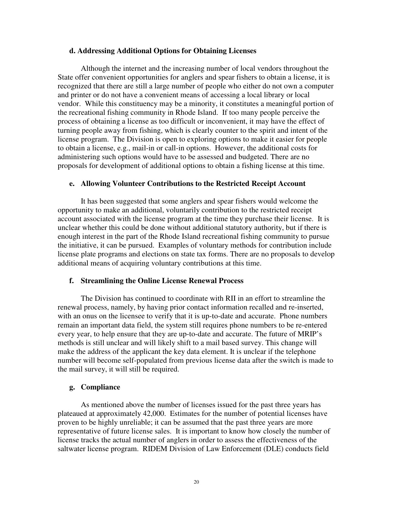#### **d. Addressing Additional Options for Obtaining Licenses**

Although the internet and the increasing number of local vendors throughout the State offer convenient opportunities for anglers and spear fishers to obtain a license, it is recognized that there are still a large number of people who either do not own a computer and printer or do not have a convenient means of accessing a local library or local vendor. While this constituency may be a minority, it constitutes a meaningful portion of the recreational fishing community in Rhode Island. If too many people perceive the process of obtaining a license as too difficult or inconvenient, it may have the effect of turning people away from fishing, which is clearly counter to the spirit and intent of the license program. The Division is open to exploring options to make it easier for people to obtain a license, e.g., mail-in or call-in options. However, the additional costs for administering such options would have to be assessed and budgeted. There are no proposals for development of additional options to obtain a fishing license at this time.

#### **e. Allowing Volunteer Contributions to the Restricted Receipt Account**

It has been suggested that some anglers and spear fishers would welcome the opportunity to make an additional, voluntarily contribution to the restricted receipt account associated with the license program at the time they purchase their license. It is unclear whether this could be done without additional statutory authority, but if there is enough interest in the part of the Rhode Island recreational fishing community to pursue the initiative, it can be pursued. Examples of voluntary methods for contribution include license plate programs and elections on state tax forms. There are no proposals to develop additional means of acquiring voluntary contributions at this time.

#### **f. Streamlining the Online License Renewal Process**

The Division has continued to coordinate with RII in an effort to streamline the renewal process, namely, by having prior contact information recalled and re-inserted, with an onus on the licensee to verify that it is up-to-date and accurate. Phone numbers remain an important data field, the system still requires phone numbers to be re-entered every year, to help ensure that they are up-to-date and accurate. The future of MRIP's methods is still unclear and will likely shift to a mail based survey. This change will make the address of the applicant the key data element. It is unclear if the telephone number will become self-populated from previous license data after the switch is made to the mail survey, it will still be required.

#### **g. Compliance**

As mentioned above the number of licenses issued for the past three years has plateaued at approximately 42,000. Estimates for the number of potential licenses have proven to be highly unreliable; it can be assumed that the past three years are more representative of future license sales. It is important to know how closely the number of license tracks the actual number of anglers in order to assess the effectiveness of the saltwater license program. RIDEM Division of Law Enforcement (DLE) conducts field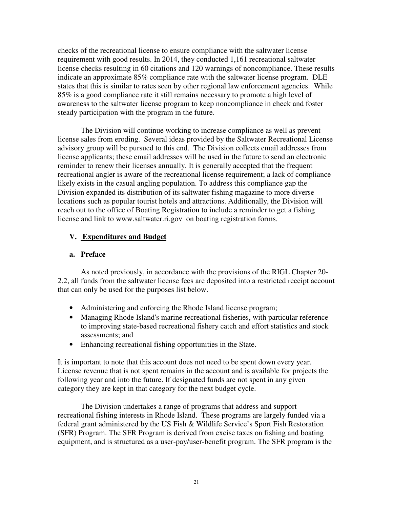checks of the recreational license to ensure compliance with the saltwater license requirement with good results. In 2014, they conducted 1,161 recreational saltwater license checks resulting in 60 citations and 120 warnings of noncompliance. These results indicate an approximate 85% compliance rate with the saltwater license program. DLE states that this is similar to rates seen by other regional law enforcement agencies. While 85% is a good compliance rate it still remains necessary to promote a high level of awareness to the saltwater license program to keep noncompliance in check and foster steady participation with the program in the future.

The Division will continue working to increase compliance as well as prevent license sales from eroding. Several ideas provided by the Saltwater Recreational License advisory group will be pursued to this end. The Division collects email addresses from license applicants; these email addresses will be used in the future to send an electronic reminder to renew their licenses annually. It is generally accepted that the frequent recreational angler is aware of the recreational license requirement; a lack of compliance likely exists in the casual angling population. To address this compliance gap the Division expanded its distribution of its saltwater fishing magazine to more diverse locations such as popular tourist hotels and attractions. Additionally, the Division will reach out to the office of Boating Registration to include a reminder to get a fishing license and link to www.saltwater.ri.gov on boating registration forms.

## **V. Expenditures and Budget**

## **a. Preface**

As noted previously, in accordance with the provisions of the RIGL Chapter 20- 2.2, all funds from the saltwater license fees are deposited into a restricted receipt account that can only be used for the purposes list below.

- Administering and enforcing the Rhode Island license program;
- Managing Rhode Island's marine recreational fisheries, with particular reference to improving state-based recreational fishery catch and effort statistics and stock assessments; and
- Enhancing recreational fishing opportunities in the State.

It is important to note that this account does not need to be spent down every year. License revenue that is not spent remains in the account and is available for projects the following year and into the future. If designated funds are not spent in any given category they are kept in that category for the next budget cycle.

 The Division undertakes a range of programs that address and support recreational fishing interests in Rhode Island. These programs are largely funded via a federal grant administered by the US Fish & Wildlife Service's Sport Fish Restoration (SFR) Program. The SFR Program is derived from excise taxes on fishing and boating equipment, and is structured as a user-pay/user-benefit program. The SFR program is the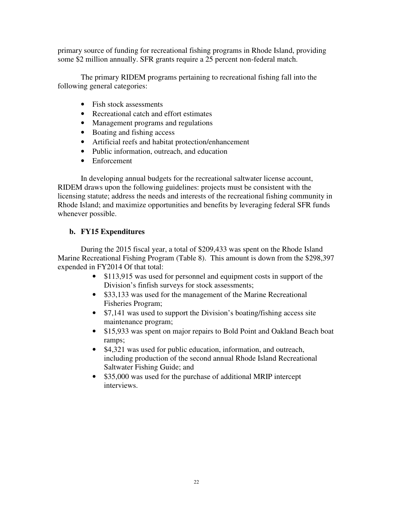primary source of funding for recreational fishing programs in Rhode Island, providing some \$2 million annually. SFR grants require a 25 percent non-federal match.

The primary RIDEM programs pertaining to recreational fishing fall into the following general categories:

- Fish stock assessments
- Recreational catch and effort estimates
- Management programs and regulations
- Boating and fishing access
- Artificial reefs and habitat protection/enhancement
- Public information, outreach, and education
- Enforcement

In developing annual budgets for the recreational saltwater license account, RIDEM draws upon the following guidelines: projects must be consistent with the licensing statute; address the needs and interests of the recreational fishing community in Rhode Island; and maximize opportunities and benefits by leveraging federal SFR funds whenever possible.

## **b. FY15 Expenditures**

During the 2015 fiscal year, a total of \$209,433 was spent on the Rhode Island Marine Recreational Fishing Program (Table 8). This amount is down from the \$298,397 expended in FY2014 Of that total:

- \$113,915 was used for personnel and equipment costs in support of the Division's finfish surveys for stock assessments;
- \$33,133 was used for the management of the Marine Recreational Fisheries Program;
- \$7,141 was used to support the Division's boating/fishing access site maintenance program;
- \$15,933 was spent on major repairs to Bold Point and Oakland Beach boat ramps;
- \$4,321 was used for public education, information, and outreach, including production of the second annual Rhode Island Recreational Saltwater Fishing Guide; and
- \$35,000 was used for the purchase of additional MRIP intercept interviews.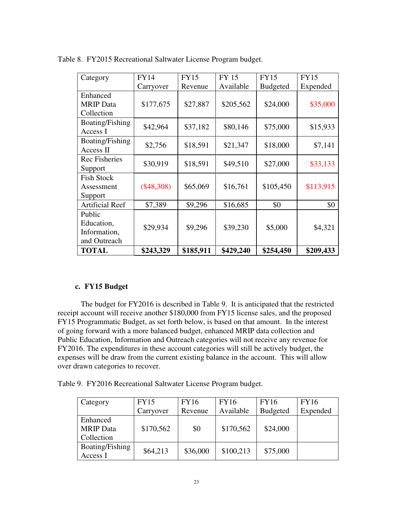| Category                                             | <b>FY14</b>  | <b>FY15</b> | <b>FY 15</b> | <b>FY15</b>     | <b>FY15</b> |
|------------------------------------------------------|--------------|-------------|--------------|-----------------|-------------|
|                                                      | Carryover    | Revenue     | Available    | <b>Budgeted</b> | Expended    |
| Enhanced                                             | \$177,675    |             |              |                 |             |
| <b>MRIP</b> Data<br>Collection                       |              | \$27,887    | \$205,562    | \$24,000        | \$35,000    |
| Boating/Fishing<br>Access I                          | \$42,964     | \$37,182    | \$80,146     | \$75,000        | \$15,933    |
| Boating/Fishing<br>Access II                         | \$2,756      | \$18,591    | \$21,347     | \$18,000        | \$7,141     |
| <b>Rec Fisheries</b><br>Support                      | \$30,919     | \$18,591    | \$49,510     | \$27,000        | \$33,133    |
| <b>Fish Stock</b><br>Assessment<br>Support           | $(\$48,308)$ | \$65,069    | \$16,761     | \$105,450       | \$113,915   |
| <b>Artificial Reef</b>                               | \$7,389      | \$9,296     | \$16,685     | \$0             | \$0         |
| Public<br>Education,<br>Information,<br>and Outreach | \$29,934     | \$9,296     | \$39,230     | \$5,000         | \$4,321     |
| <b>TOTAL</b>                                         | \$243,329    | \$185,911   | \$429,240    | \$254,450       | \$209,433   |

Table 8. FY2015 Recreational Saltwater License Program budget.

## **c. FY15 Budget**

The budget for FY2016 is described in Table 9. It is anticipated that the restricted receipt account will receive another \$180,000 from FY15 license sales, and the proposed FY15 Programmatic Budget, as set forth below, is based on that amount. In the interest of going forward with a more balanced budget, enhanced MRIP data collection and Public Education, Information and Outreach categories will not receive any revenue for FY2016. The expenditures in these account categories will still be actively budget, the expenses will be draw from the current existing balance in the account. This will allow over drawn categories to recover.

Table 9. FY2016 Recreational Saltwater License Program budget.

| Category         | <b>FY15</b> | <b>FY16</b> | <b>FY16</b> | <b>FY16</b>     | <b>FY16</b> |
|------------------|-------------|-------------|-------------|-----------------|-------------|
|                  | Carryover   | Revenue     | Available   | <b>Budgeted</b> | Expended    |
| Enhanced         |             |             |             |                 |             |
| <b>MRIP</b> Data | \$170,562   | \$0         | \$170,562   | \$24,000        |             |
| Collection       |             |             |             |                 |             |
| Boating/Fishing  | \$64,213    | \$36,000    | \$100,213   | \$75,000        |             |
| Access I         |             |             |             |                 |             |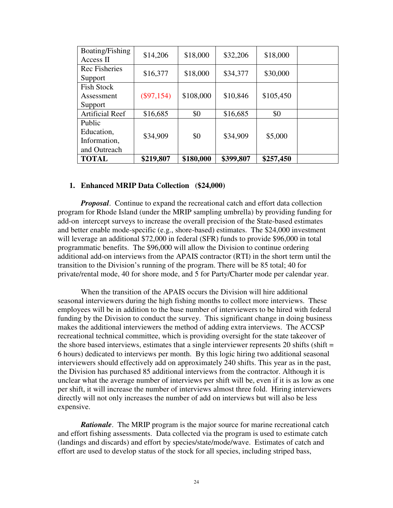| Boating/Fishing<br>Access II                         | \$14,206     | \$18,000  | \$32,206  | \$18,000  |  |
|------------------------------------------------------|--------------|-----------|-----------|-----------|--|
| Rec Fisheries<br>Support                             | \$16,377     | \$18,000  | \$34,377  | \$30,000  |  |
| <b>Fish Stock</b><br>Assessment<br>Support           | $(\$97,154)$ | \$108,000 | \$10,846  | \$105,450 |  |
| <b>Artificial Reef</b>                               | \$16,685     | \$0       | \$16,685  | \$0       |  |
| Public<br>Education,<br>Information,<br>and Outreach | \$34,909     | \$0       | \$34,909  | \$5,000   |  |
| <b>TOTAL</b>                                         | \$219,807    | \$180,000 | \$399,807 | \$257,450 |  |

#### **1. Enhanced MRIP Data Collection (\$24,000)**

*Proposal*. Continue to expand the recreational catch and effort data collection program for Rhode Island (under the MRIP sampling umbrella) by providing funding for add-on intercept surveys to increase the overall precision of the State-based estimates and better enable mode-specific (e.g., shore-based) estimates. The \$24,000 investment will leverage an additional \$72,000 in federal (SFR) funds to provide \$96,000 in total programmatic benefits. The \$96,000 will allow the Division to continue ordering additional add-on interviews from the APAIS contractor (RTI) in the short term until the transition to the Division's running of the program. There will be 85 total; 40 for private/rental mode, 40 for shore mode, and 5 for Party/Charter mode per calendar year.

When the transition of the APAIS occurs the Division will hire additional seasonal interviewers during the high fishing months to collect more interviews. These employees will be in addition to the base number of interviewers to be hired with federal funding by the Division to conduct the survey. This significant change in doing business makes the additional interviewers the method of adding extra interviews. The ACCSP recreational technical committee, which is providing oversight for the state takeover of the shore based interviews, estimates that a single interviewer represents 20 shifts (shift  $=$ 6 hours) dedicated to interviews per month. By this logic hiring two additional seasonal interviewers should effectively add on approximately 240 shifts. This year as in the past, the Division has purchased 85 additional interviews from the contractor. Although it is unclear what the average number of interviews per shift will be, even if it is as low as one per shift, it will increase the number of interviews almost three fold. Hiring interviewers directly will not only increases the number of add on interviews but will also be less expensive.

*Rationale*. The MRIP program is the major source for marine recreational catch and effort fishing assessments. Data collected via the program is used to estimate catch (landings and discards) and effort by species/state/mode/wave. Estimates of catch and effort are used to develop status of the stock for all species, including striped bass,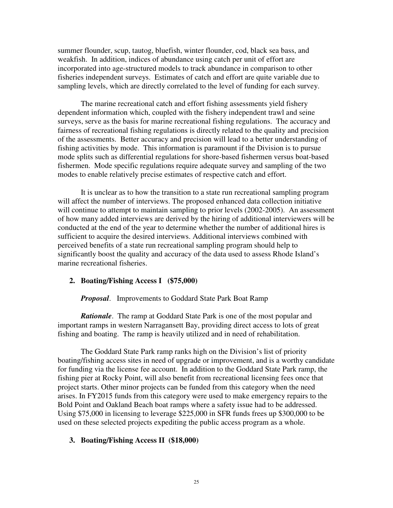summer flounder, scup, tautog, bluefish, winter flounder, cod, black sea bass, and weakfish. In addition, indices of abundance using catch per unit of effort are incorporated into age-structured models to track abundance in comparison to other fisheries independent surveys. Estimates of catch and effort are quite variable due to sampling levels, which are directly correlated to the level of funding for each survey.

 The marine recreational catch and effort fishing assessments yield fishery dependent information which, coupled with the fishery independent trawl and seine surveys, serve as the basis for marine recreational fishing regulations. The accuracy and fairness of recreational fishing regulations is directly related to the quality and precision of the assessments. Better accuracy and precision will lead to a better understanding of fishing activities by mode. This information is paramount if the Division is to pursue mode splits such as differential regulations for shore-based fishermen versus boat-based fishermen. Mode specific regulations require adequate survey and sampling of the two modes to enable relatively precise estimates of respective catch and effort.

It is unclear as to how the transition to a state run recreational sampling program will affect the number of interviews. The proposed enhanced data collection initiative will continue to attempt to maintain sampling to prior levels (2002-2005). An assessment of how many added interviews are derived by the hiring of additional interviewers will be conducted at the end of the year to determine whether the number of additional hires is sufficient to acquire the desired interviews. Additional interviews combined with perceived benefits of a state run recreational sampling program should help to significantly boost the quality and accuracy of the data used to assess Rhode Island's marine recreational fisheries.

#### **2. Boating/Fishing Access I (\$75,000)**

*Proposal*. Improvements to Goddard State Park Boat Ramp

*Rationale*. The ramp at Goddard State Park is one of the most popular and important ramps in western Narragansett Bay, providing direct access to lots of great fishing and boating. The ramp is heavily utilized and in need of rehabilitation.

 The Goddard State Park ramp ranks high on the Division's list of priority boating/fishing access sites in need of upgrade or improvement, and is a worthy candidate for funding via the license fee account. In addition to the Goddard State Park ramp, the fishing pier at Rocky Point, will also benefit from recreational licensing fees once that project starts. Other minor projects can be funded from this category when the need arises. In FY2015 funds from this category were used to make emergency repairs to the Bold Point and Oakland Beach boat ramps where a safety issue had to be addressed. Using \$75,000 in licensing to leverage \$225,000 in SFR funds frees up \$300,000 to be used on these selected projects expediting the public access program as a whole.

#### **3. Boating/Fishing Access II (\$18,000)**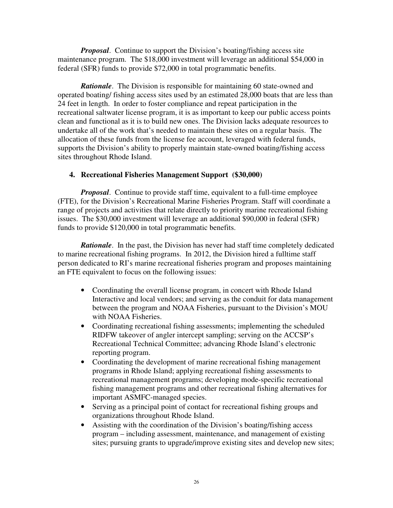*Proposal.* Continue to support the Division's boating/fishing access site maintenance program. The \$18,000 investment will leverage an additional \$54,000 in federal (SFR) funds to provide \$72,000 in total programmatic benefits.

*Rationale.* The Division is responsible for maintaining 60 state-owned and operated boating/ fishing access sites used by an estimated 28,000 boats that are less than 24 feet in length. In order to foster compliance and repeat participation in the recreational saltwater license program, it is as important to keep our public access points clean and functional as it is to build new ones. The Division lacks adequate resources to undertake all of the work that's needed to maintain these sites on a regular basis. The allocation of these funds from the license fee account, leveraged with federal funds, supports the Division's ability to properly maintain state-owned boating/fishing access sites throughout Rhode Island.

## **4. Recreational Fisheries Management Support (\$30,000)**

*Proposal.* Continue to provide staff time, equivalent to a full-time employee (FTE), for the Division's Recreational Marine Fisheries Program. Staff will coordinate a range of projects and activities that relate directly to priority marine recreational fishing issues. The \$30,000 investment will leverage an additional \$90,000 in federal (SFR) funds to provide \$120,000 in total programmatic benefits.

*Rationale*. In the past, the Division has never had staff time completely dedicated to marine recreational fishing programs. In 2012, the Division hired a fulltime staff person dedicated to RI's marine recreational fisheries program and proposes maintaining an FTE equivalent to focus on the following issues:

- Coordinating the overall license program, in concert with Rhode Island Interactive and local vendors; and serving as the conduit for data management between the program and NOAA Fisheries, pursuant to the Division's MOU with NOAA Fisheries.
- Coordinating recreational fishing assessments; implementing the scheduled RIDFW takeover of angler intercept sampling; serving on the ACCSP's Recreational Technical Committee; advancing Rhode Island's electronic reporting program.
- Coordinating the development of marine recreational fishing management programs in Rhode Island; applying recreational fishing assessments to recreational management programs; developing mode-specific recreational fishing management programs and other recreational fishing alternatives for important ASMFC-managed species.
- Serving as a principal point of contact for recreational fishing groups and organizations throughout Rhode Island.
- Assisting with the coordination of the Division's boating/fishing access program – including assessment, maintenance, and management of existing sites; pursuing grants to upgrade/improve existing sites and develop new sites;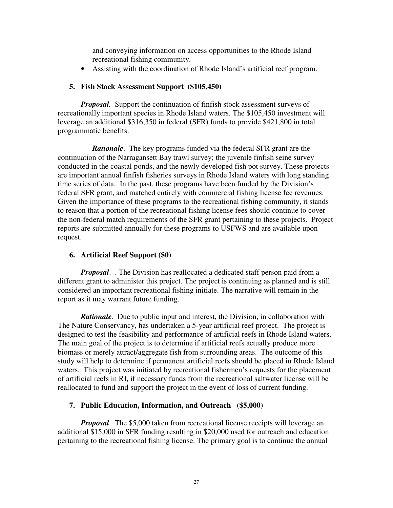and conveying information on access opportunities to the Rhode Island recreational fishing community.

• Assisting with the coordination of Rhode Island's artificial reef program.

## **5. Fish Stock Assessment Support (\$105,450)**

*Proposal.* Support the continuation of finfish stock assessment surveys of recreationally important species in Rhode Island waters. The \$105,450 investment will leverage an additional \$316,350 in federal (SFR) funds to provide \$421,800 in total programmatic benefits.

*Rationale*. The key programs funded via the federal SFR grant are the continuation of the Narragansett Bay trawl survey; the juvenile finfish seine survey conducted in the coastal ponds, and the newly developed fish pot survey. These projects are important annual finfish fisheries surveys in Rhode Island waters with long standing time series of data. In the past, these programs have been funded by the Division's federal SFR grant, and matched entirely with commercial fishing license fee revenues. Given the importance of these programs to the recreational fishing community, it stands to reason that a portion of the recreational fishing license fees should continue to cover the non-federal match requirements of the SFR grant pertaining to these projects. Project reports are submitted annually for these programs to USFWS and are available upon request.

## **6. Artificial Reef Support (\$0)**

*Proposal*. . The Division has reallocated a dedicated staff person paid from a different grant to administer this project. The project is continuing as planned and is still considered an important recreational fishing initiate. The narrative will remain in the report as it may warrant future funding.

*Rationale.* Due to public input and interest, the Division, in collaboration with The Nature Conservancy, has undertaken a 5-year artificial reef project. The project is designed to test the feasibility and performance of artificial reefs in Rhode Island waters. The main goal of the project is to determine if artificial reefs actually produce more biomass or merely attract/aggregate fish from surrounding areas. The outcome of this study will help to determine if permanent artificial reefs should be placed in Rhode Island waters. This project was initiated by recreational fishermen's requests for the placement of artificial reefs in RI, if necessary funds from the recreational saltwater license will be reallocated to fund and support the project in the event of loss of current funding.

## **7. Public Education, Information, and Outreach (\$5,000)**

*Proposal.* The \$5,000 taken from recreational license receipts will leverage an additional \$15,000 in SFR funding resulting in \$20,000 used for outreach and education pertaining to the recreational fishing license. The primary goal is to continue the annual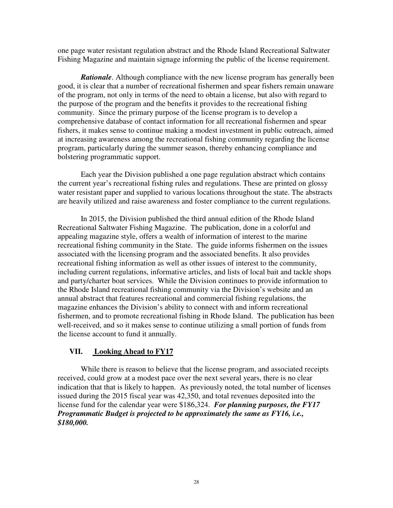one page water resistant regulation abstract and the Rhode Island Recreational Saltwater Fishing Magazine and maintain signage informing the public of the license requirement.

*Rationale*. Although compliance with the new license program has generally been good, it is clear that a number of recreational fishermen and spear fishers remain unaware of the program, not only in terms of the need to obtain a license, but also with regard to the purpose of the program and the benefits it provides to the recreational fishing community. Since the primary purpose of the license program is to develop a comprehensive database of contact information for all recreational fishermen and spear fishers, it makes sense to continue making a modest investment in public outreach, aimed at increasing awareness among the recreational fishing community regarding the license program, particularly during the summer season, thereby enhancing compliance and bolstering programmatic support.

Each year the Division published a one page regulation abstract which contains the current year's recreational fishing rules and regulations. These are printed on glossy water resistant paper and supplied to various locations throughout the state. The abstracts are heavily utilized and raise awareness and foster compliance to the current regulations.

In 2015, the Division published the third annual edition of the Rhode Island Recreational Saltwater Fishing Magazine. The publication, done in a colorful and appealing magazine style, offers a wealth of information of interest to the marine recreational fishing community in the State. The guide informs fishermen on the issues associated with the licensing program and the associated benefits. It also provides recreational fishing information as well as other issues of interest to the community, including current regulations, informative articles, and lists of local bait and tackle shops and party/charter boat services. While the Division continues to provide information to the Rhode Island recreational fishing community via the Division's website and an annual abstract that features recreational and commercial fishing regulations, the magazine enhances the Division's ability to connect with and inform recreational fishermen, and to promote recreational fishing in Rhode Island. The publication has been well-received, and so it makes sense to continue utilizing a small portion of funds from the license account to fund it annually.

## **VII. Looking Ahead to FY17**

While there is reason to believe that the license program, and associated receipts received, could grow at a modest pace over the next several years, there is no clear indication that that is likely to happen. As previously noted, the total number of licenses issued during the 2015 fiscal year was 42,350, and total revenues deposited into the license fund for the calendar year were \$186,324. *For planning purposes, the FY17 Programmatic Budget is projected to be approximately the same as FY16, i.e., \$180,000.*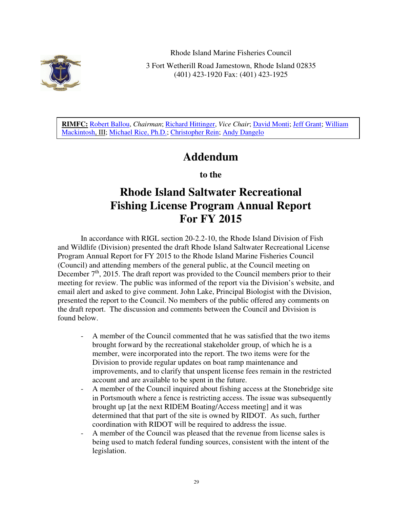

Rhode Island Marine Fisheries Council

3 Fort Wetherill Road Jamestown, Rhode Island 02835 (401) 423-1920 Fax: (401) 423-1925

**RIMFC:** Robert Ballou, *Chairman*; Richard Hittinger, *Vice Chair*; David Monti; Jeff Grant; William Mackintosh, III; Michael Rice, Ph.D.; Christopher Rein; Andy Dangelo

## **Addendum**

**to the** 

# **Rhode Island Saltwater Recreational Fishing License Program Annual Report For FY 2015**

In accordance with RIGL section 20-2.2-10, the Rhode Island Division of Fish and Wildlife (Division) presented the draft Rhode Island Saltwater Recreational License Program Annual Report for FY 2015 to the Rhode Island Marine Fisheries Council (Council) and attending members of the general public, at the Council meeting on December  $7<sup>th</sup>$ , 2015. The draft report was provided to the Council members prior to their meeting for review. The public was informed of the report via the Division's website, and email alert and asked to give comment. John Lake, Principal Biologist with the Division, presented the report to the Council. No members of the public offered any comments on the draft report. The discussion and comments between the Council and Division is found below.

- A member of the Council commented that he was satisfied that the two items brought forward by the recreational stakeholder group, of which he is a member, were incorporated into the report. The two items were for the Division to provide regular updates on boat ramp maintenance and improvements, and to clarify that unspent license fees remain in the restricted account and are available to be spent in the future.
- A member of the Council inquired about fishing access at the Stonebridge site in Portsmouth where a fence is restricting access. The issue was subsequently brought up [at the next RIDEM Boating/Access meeting] and it was determined that that part of the site is owned by RIDOT. As such, further coordination with RIDOT will be required to address the issue.
- A member of the Council was pleased that the revenue from license sales is being used to match federal funding sources, consistent with the intent of the legislation.